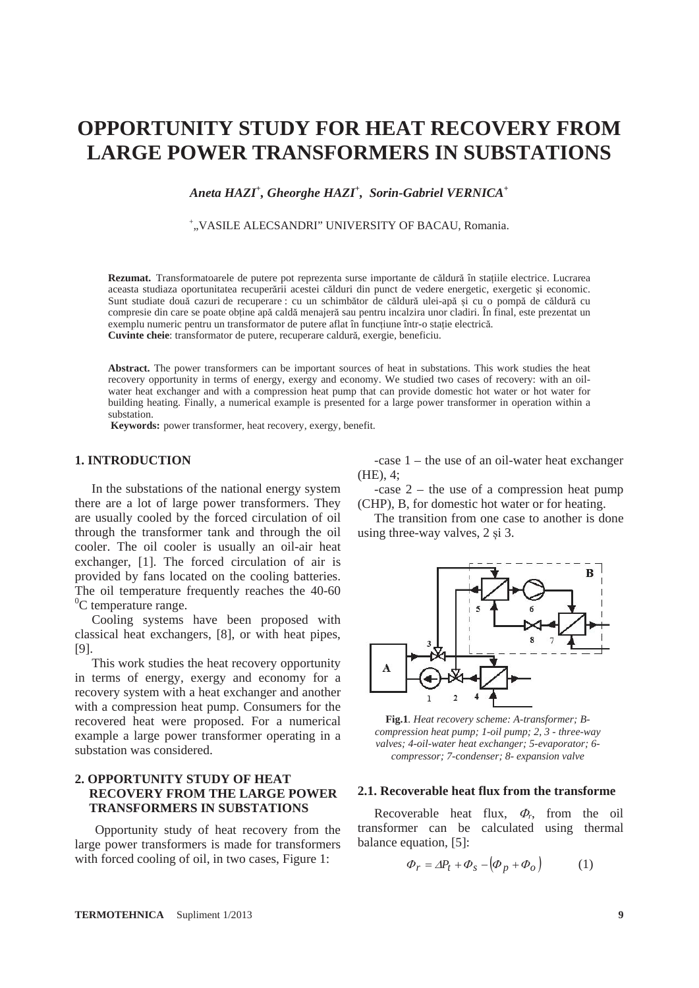# **OPPORTUNITY STUDY FOR HEAT RECOVERY FROM LARGE POWER TRANSFORMERS IN SUBSTATIONS**

*Aneta HAZI+ , Gheorghe HAZI+ , Sorin-Gabriel VERNICA+* 

+ "VASILE ALECSANDRI" UNIVERSITY OF BACAU, Romania.

Rezumat. Transformatoarele de putere pot reprezenta surse importante de căldură în stațiile electrice. Lucrarea aceasta studiaza oportunitatea recuperării acestei călduri din punct de vedere energetic, exergetic ڍi economic. Sunt studiate două cazuri de recuperare : cu un schimbător de căldură ulei-apă ڍi cu o pompă de căldură cu compresie din care se poate obține apă caldă menajeră sau pentru incalzira unor cladiri. În final, este prezentat un exemplu numeric pentru un transformator de putere aflat în funcțiune într-o stație electrică. **Cuvinte cheie**: transformator de putere, recuperare caldură, exergie, beneficiu.

**Abstract.** The power transformers can be important sources of heat in substations. This work studies the heat recovery opportunity in terms of energy, exergy and economy. We studied two cases of recovery: with an oilwater heat exchanger and with a compression heat pump that can provide domestic hot water or hot water for building heating. Finally, a numerical example is presented for a large power transformer in operation within a substation.

**Keywords:** power transformer, heat recovery, exergy, benefit.

# **1. INTRODUCTION**

In the substations of the national energy system there are a lot of large power transformers. They are usually cooled by the forced circulation of oil through the transformer tank and through the oil cooler. The oil cooler is usually an oil-air heat exchanger, [1]. The forced circulation of air is provided by fans located on the cooling batteries. The oil temperature frequently reaches the 40-60 <sup>0</sup>C temperature range.

Cooling systems have been proposed with classical heat exchangers, [8], or with heat pipes, [9].

This work studies the heat recovery opportunity in terms of energy, exergy and economy for a recovery system with a heat exchanger and another with a compression heat pump. Consumers for the recovered heat were proposed. For a numerical example a large power transformer operating in a substation was considered.

# **2. OPPORTUNITY STUDY OF HEAT RECOVERY FROM THE LARGE POWER TRANSFORMERS IN SUBSTATIONS**

Opportunity study of heat recovery from the large power transformers is made for transformers with forced cooling of oil, in two cases, Figure 1:

-case 1 – the use of an oil-water heat exchanger (HE), 4;

-case 2 – the use of a compression heat pump (CHP), B, for domestic hot water or for heating.

The transition from one case to another is done using three-way valves, 2 si 3.



**Fig.1***. Heat recovery scheme: A-transformer; Bcompression heat pump; 1-oil pump; 2, 3 - three-way valves; 4-oil-water heat exchanger; 5-evaporator; 6 compressor; 7-condenser; 8- expansion valve*

# **2.1. Recoverable heat flux from the transforme**

Recoverable heat flux,  $\Phi_r$ , from the oil transformer can be calculated using thermal balance equation, [5]:

$$
\Phi_r = \Delta P_t + \Phi_s - \left(\Phi_p + \Phi_o\right) \tag{1}
$$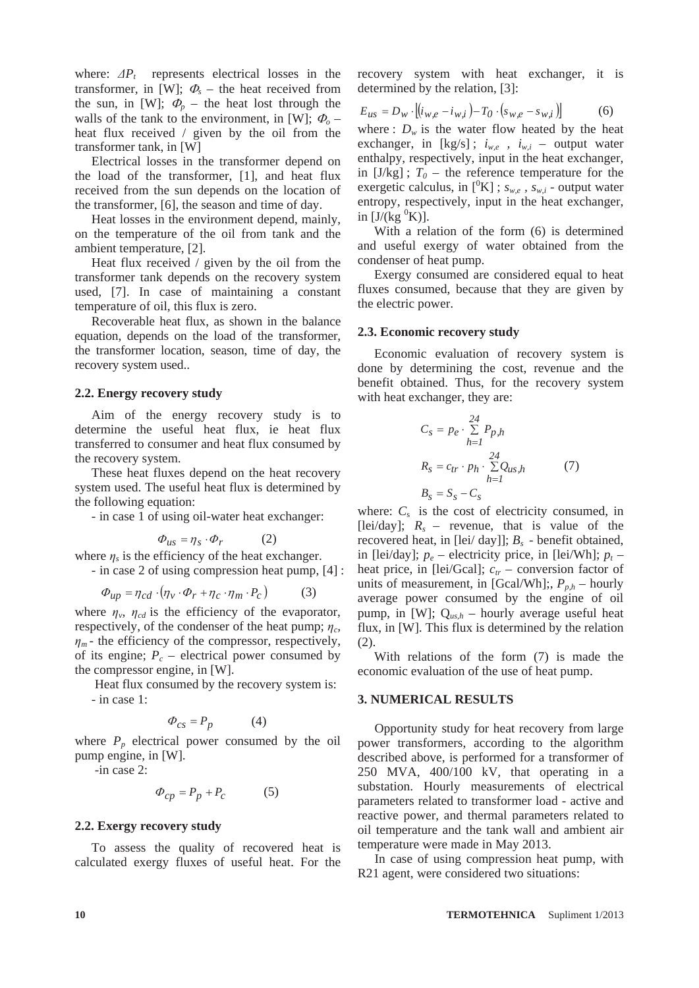where:  $\Delta P_t$  represents electrical losses in the transformer, in [W];  $\Phi_s$  – the heat received from the sun, in [W];  $\Phi_p$  – the heat lost through the walls of the tank to the environment, in [W];  $\Phi_{o}$  – heat flux received / given by the oil from the transformer tank, in [W]

Electrical losses in the transformer depend on the load of the transformer, [1], and heat flux received from the sun depends on the location of the transformer, [6], the season and time of day.

Heat losses in the environment depend, mainly, on the temperature of the oil from tank and the ambient temperature, [2].

Heat flux received / given by the oil from the transformer tank depends on the recovery system used, [7]. In case of maintaining a constant temperature of oil, this flux is zero.

Recoverable heat flux, as shown in the balance equation, depends on the load of the transformer, the transformer location, season, time of day, the recovery system used..

## **2.2. Energy recovery study**

Aim of the energy recovery study is to determine the useful heat flux, ie heat flux transferred to consumer and heat flux consumed by the recovery system.

These heat fluxes depend on the heat recovery system used. The useful heat flux is determined by the following equation:

- in case 1 of using oil-water heat exchanger:

$$
\varPhi_{u s} = \eta_s \cdot \varPhi_r \qquad \quad (2)
$$

where  $\eta_s$  is the efficiency of the heat exchanger. - in case 2 of using compression heat pump, [4] :

$$
\Phi_{up} = \eta_{cd} \cdot (\eta_v \cdot \Phi_r + \eta_c \cdot \eta_m \cdot P_c)
$$
 (3)

where  $\eta_v$ ,  $\eta_{cd}$  is the efficiency of the evaporator, respectively, of the condenser of the heat pump;  $\eta_c$  $\eta_m$  - the efficiency of the compressor, respectively, of its engine;  $P_c$  – electrical power consumed by the compressor engine, in [W].

 Heat flux consumed by the recovery system is: - in case 1:

$$
\Phi_{cs} = P_p \tag{4}
$$

where  $P_p$  electrical power consumed by the oil pump engine, in [W].

-in case 2:

$$
\Phi_{cp} = P_p + P_c \tag{5}
$$

## **2.2. Exergy recovery study**

To assess the quality of recovered heat is calculated exergy fluxes of useful heat. For the

recovery system with heat exchanger, it is determined by the relation, [3]:

$$
E_{us} = D_w \cdot [(i_{w,e} - i_{w,i}) - T_0 \cdot (s_{w,e} - s_{w,i})]
$$
 (6)

where :  $D_w$  is the water flow heated by the heat exchanger, in [kg/s];  $i_{w,e}$ ,  $i_{w,i}$  – output water enthalpy, respectively, input in the heat exchanger, in  $[J/kg]$ ;  $T_0$  – the reference temperature for the exergetic calculus, in  $\binom{0}{K}$ ;  $s_{w,e}$ ,  $s_{w,i}$  - output water entropy, respectively, input in the heat exchanger, in  $[\overline{J/(kg \, ^0K)}]$ .

With a relation of the form (6) is determined and useful exergy of water obtained from the condenser of heat pump.

Exergy consumed are considered equal to heat fluxes consumed, because that they are given by the electric power.

#### **2.3. Economic recovery study**

Economic evaluation of recovery system is done by determining the cost, revenue and the benefit obtained. Thus, for the recovery system with heat exchanger, they are:

$$
C_{s} = p_{e} \cdot \sum_{h=1}^{24} P_{p,h}
$$
  
\n
$$
R_{s} = c_{tr} \cdot p_{h} \cdot \sum_{h=1}^{24} Q_{us,h}
$$
 (7)  
\n
$$
B_{s} = S_{s} - C_{s}
$$

where:  $C_s$  is the cost of electricity consumed, in [lei/day];  $R_s$  – revenue, that is value of the recovered heat, in [lei/ day]]; *Bs* - benefit obtained, in [lei/day];  $p_e$  – electricity price, in [lei/Wh];  $p_t$  – heat price, in [lei/Gcal];  $c_{tr}$  – conversion factor of units of measurement, in [Gcal/Wh];,  $P_{p,h}$  – hourly average power consumed by the engine of oil pump, in [W]; Q*us,h* – hourly average useful heat flux, in [W]. This flux is determined by the relation (2).

With relations of the form (7) is made the economic evaluation of the use of heat pump.

#### **3. NUMERICAL RESULTS**

Opportunity study for heat recovery from large power transformers, according to the algorithm described above, is performed for a transformer of 250 MVA, 400/100 kV, that operating in a substation. Hourly measurements of electrical parameters related to transformer load - active and reactive power, and thermal parameters related to oil temperature and the tank wall and ambient air temperature were made in May 2013.

In case of using compression heat pump, with R21 agent, were considered two situations: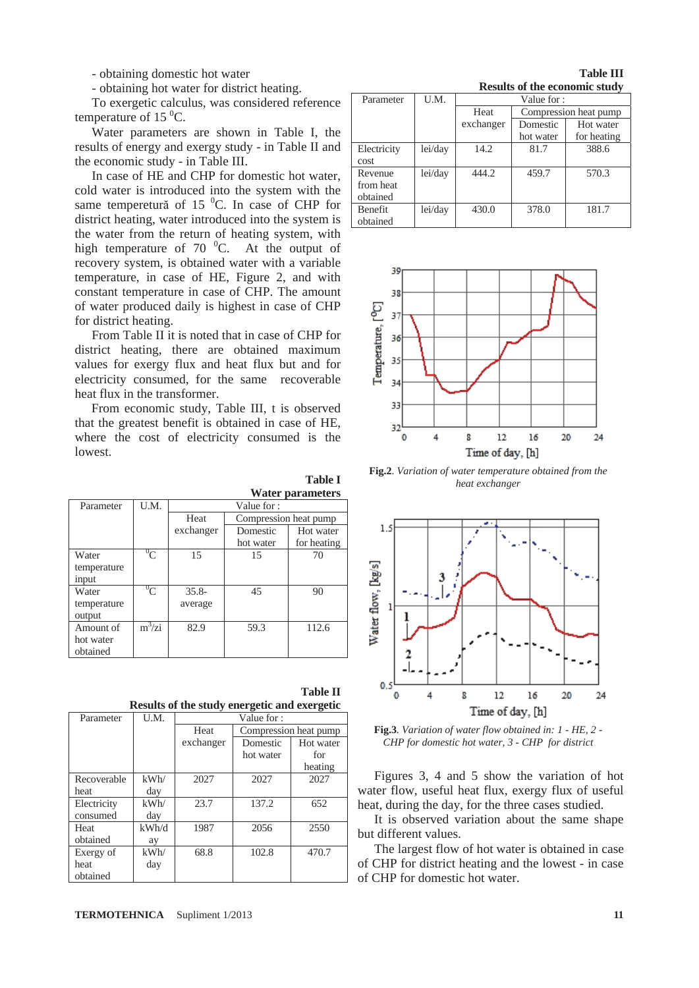- obtaining domestic hot water

- obtaining hot water for district heating.

To exergetic calculus, was considered reference temperature of 15 $\mathrm{^{0}C}$ .

Water parameters are shown in Table I, the results of energy and exergy study - in Table II and the economic study - in Table III.

In case of HE and CHP for domestic hot water, cold water is introduced into the system with the same temperetură of 15 $^{0}$ C. In case of CHP for district heating, water introduced into the system is the water from the return of heating system, with high temperature of  $70<sup>0</sup>C$ . At the output of recovery system, is obtained water with a variable temperature, in case of HE, Figure 2, and with constant temperature in case of CHP. The amount of water produced daily is highest in case of CHP for district heating.

From Table II it is noted that in case of CHP for district heating, there are obtained maximum values for exergy flux and heat flux but and for electricity consumed, for the same recoverable heat flux in the transformer.

From economic study, Table III, t is observed that the greatest benefit is obtained in case of HE, where the cost of electricity consumed is the lowest.

**Table I** 

|             |                | <b>Water parameters</b>       |           |             |  |
|-------------|----------------|-------------------------------|-----------|-------------|--|
| Parameter   | U.M.           | Value for:                    |           |             |  |
|             |                | Heat<br>Compression heat pump |           |             |  |
|             |                | exchanger                     | Domestic  | Hot water   |  |
|             |                |                               | hot water | for heating |  |
| Water       | $\mathrm{O}_C$ | 15                            | 15        | 70          |  |
| temperature |                |                               |           |             |  |
| input       |                |                               |           |             |  |
| Water       | $^{0}C$        | $35.8 -$                      | 45        | 90          |  |
| temperature |                | average                       |           |             |  |
| output      |                |                               |           |             |  |
| Amount of   | $m^3 / zi$     | 82.9                          | 59.3      | 112.6       |  |
| hot water   |                |                               |           |             |  |
| obtained    |                |                               |           |             |  |

**Table II Results of the study energetic and exergetic** 

| Parameter   | U.M.  | Value for: |                       |           |
|-------------|-------|------------|-----------------------|-----------|
|             |       | Heat       | Compression heat pump |           |
|             |       | exchanger  | Domestic              | Hot water |
|             |       |            | hot water             | for       |
|             |       |            |                       | heating   |
| Recoverable | kWh/  | 2027       | 2027                  | 2027      |
| heat        | day   |            |                       |           |
| Electricity | kWh/  | 23.7       | 137.2                 | 652       |
| consumed    | day   |            |                       |           |
| Heat        | kWh/d | 1987       | 2056                  | 2550      |
| obtained    | ay    |            |                       |           |
| Exergy of   | kWh/  | 68.8       | 102.8                 | 470.7     |
| heat        | day   |            |                       |           |
| obtained    |       |            |                       |           |

# **TERMOTEHNICA** Supliment 1/2013 **11**

**Table III Results of the economic study** 

| Parameter      | U.M.    | Value for: |                       |             |  |
|----------------|---------|------------|-----------------------|-------------|--|
|                |         | Heat       | Compression heat pump |             |  |
|                |         | exchanger  | Domestic              | Hot water   |  |
|                |         |            | hot water             | for heating |  |
| Electricity    | lei/day | 14.2       | 81.7                  | 388.6       |  |
| cost           |         |            |                       |             |  |
| Revenue        | lei/day | 444.2      | 459.7                 | 570.3       |  |
| from heat      |         |            |                       |             |  |
| obtained       |         |            |                       |             |  |
| <b>Benefit</b> | lei/day | 430.0      | 378.0                 | 181.7       |  |
| obtained       |         |            |                       |             |  |



**Fig.2**. *Variation of water temperature obtained from the heat exchanger* 



**Fig.3***. Variation of water flow obtained in: 1 - HE, 2 - CHP for domestic hot water, 3 - CHP for district* 

Figures 3, 4 and 5 show the variation of hot water flow, useful heat flux, exergy flux of useful heat, during the day, for the three cases studied.

It is observed variation about the same shape but different values.

The largest flow of hot water is obtained in case of CHP for district heating and the lowest - in case of CHP for domestic hot water.